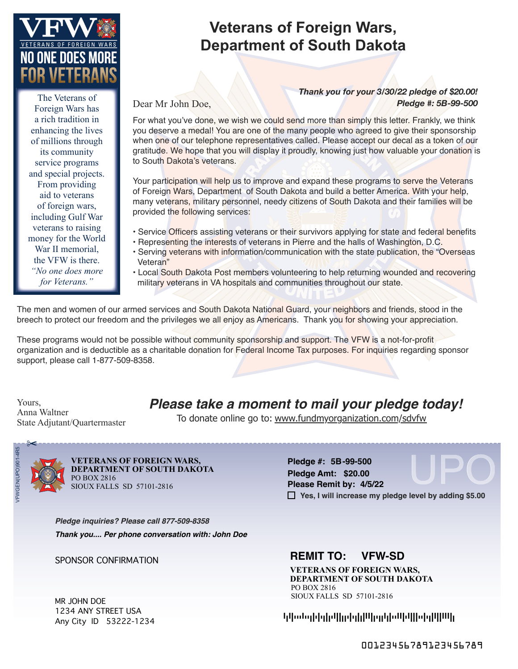

The Veterans of Foreign Wars has a rich tradition in enhancing the lives of millions through its community service programs and special projects. From providing aid to veterans of foreign wars, including Gulf War veterans to raising money for the World War II memorial, the VFW is there. *"No one does more for Veterans."*

#### **Veterans of Foreign Wars, Department of South Dakota**

Dear Mr John Doe,

*Pledge #: 5B-99-500 Thank you for your 3/30/22 pledge of \$20.00!*

For what you've done, we wish we could send more than simply this letter. Frankly, we think you deserve a medal! You are one of the many people who agreed to give their sponsorship when one of our telephone representatives called. Please accept our decal as a token of our gratitude. We hope that you will display it proudly, knowing just how valuable your donation is to South Dakota's veterans.

Your participation will help us to improve and expand these programs to serve the Veterans of Foreign Wars, Department of South Dakota and build a better America. With your help, many veterans, military personnel, needy citizens of South Dakota and their families will be provided the following services:

- Service Officers assisting veterans or their survivors applying for state and federal benefits
- Representing the interests of veterans in Pierre and the halls of Washington, D.C.
- Serving veterans with information/communication with the state publication, the "Overseas Veteran"
- Local South Dakota Post members volunteering to help returning wounded and recovering military veterans in VA hospitals and communities throughout our state.

The men and women of our armed services and South Dakota National Guard, your neighbors and friends, stood in the breech to protect our freedom and the privileges we all enjoy as Americans. Thank you for showing your appreciation.

These programs would not be possible without community sponsorship and support. The VFW is a not-for-profit organization and is deductible as a charitable donation for Federal Income Tax purposes. For inquiries regarding sponsor support, please call 1-877-509-8358.

Yours, Anna Waltner State Adjutant/Quartermaster *Please take a moment to mail your pledge today!*

To donate online go to: www.fundmyorganization.com/sdvfw



**DEPARTMENT OF SOUTH DAKOTA**  PO BOX 2816 SIOUX FALLS SD 57101-2816 **VETERANS OF FOREIGN WARS,** 

UPO **5B-99-500 Pledge #: Yes, I will increase my pledge level by adding \$5.00 Pledge Amt: \$20.00 Please Remit by: 4/5/22**

*Pledge inquiries? Please call 877-509-8358 Thank you.... Per phone conversation with: John Doe*

MR JOHN DOE 1234 ANY STREET USA Any City ID 53222-1234

#### SPONSOR CONFIRMATION **REMIT TO: VFW-SD**

**VETERANS OF FOREIGN WARS, DEPARTMENT OF SOUTH DAKOTA**  PO BOX 2816 SIOUX FALLS SD 57101-2816

ADAFTTTATTDFTFTDFDTAFFDDTFTDFDFAAFDTDDADFTTAAFTAFFFTTFTDFAFFAAAFD

00123456789123456789